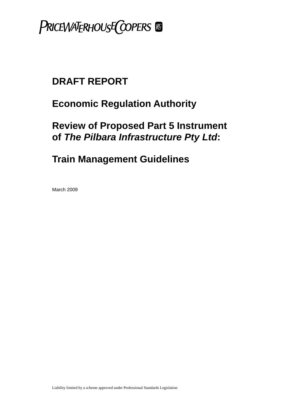

# **Economic Regulation Authority**

# **Review of Proposed Part 5 Instrument of** *The Pilbara Infrastructure Pty Ltd***:**

# **Train Management Guidelines**

March 2009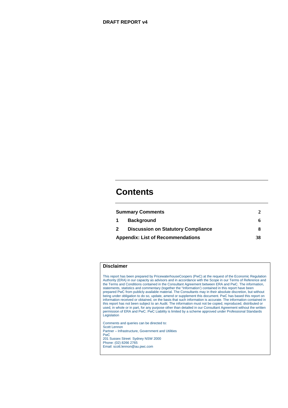# **Contents**

| <b>Summary Comments</b>                  |                                           |    |
|------------------------------------------|-------------------------------------------|----|
| $\mathbf 1$                              | <b>Background</b>                         | h  |
| $\mathbf{2}$                             | <b>Discussion on Statutory Compliance</b> |    |
| <b>Appendix: List of Recommendations</b> |                                           | 38 |

## **Disclaimer**

This report has been prepared by PricewaterhouseCoopers (PwC) at the request of the Economic Regulation Authority (ERA) in our capacity as advisors and in accordance with the Scope in our Terms of Reference and the Terms and Conditions contained in the Consultant Agreement between ERA and PwC. The information, statements, statistics and commentary (together the "Information') contained in this report have been prepared PwC from publicly available material. The Consultants may in their absolute discretion, but without being under obligation to do so, update, amend or supplement this document. PwC has based this report on information received or obtained, on the basis that such information is accurate. The information contained in this report has not been subject to an Audit. The information must not be copied, reproduced, distributed or used, in whole or in part, for any purpose other than detailed in our Consultant Agreement without the written permission of ERA and PwC. PwC Liability is limited by a scheme approved under Professional Standards **Legislation** 

Comments and queries can be directed to: Scott Lennon Partner – Infrastructure, Government and Utilities PwC 201 Sussex Street Sydney NSW 2000 Phone: (02) 8266 2765 Email: scott.lennon@au.pwc.com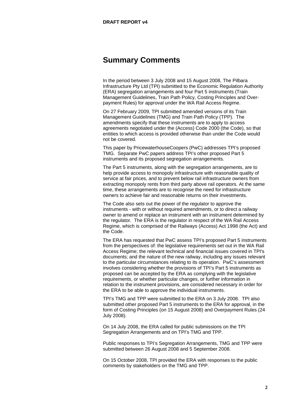# <span id="page-2-0"></span>**Summary Comments**

In the period between 3 July 2008 and 15 August 2008, The Pilbara Infrastructure Pty Ltd (TPI) submitted to the Economic Regulation Authority (ERA) segregation arrangements and four Part 5 instruments (Train Management Guidelines, Train Path Policy, Costing Principles and Overpayment Rules) for approval under the WA Rail Access Regime.

On 27 February 2009, TPI submitted amended versions of its Train Management Guidelines (TMG) and Train Path Policy (TPP). The amendments specify that these instruments are to apply to access agreements negotiated under the (Access) Code 2000 (the Code), so that entities to which access is provided otherwise than under the Code would not be covered.

This paper by PricewaterhouseCoopers (PwC) addresses TPI's proposed TMG. Separate PwC papers address TPI's other proposed Part 5 instruments and its proposed segregation arrangements.

The Part 5 instruments, along with the segregation arrangements, are to help provide access to monopoly infrastructure with reasonable quality of service at fair prices, and to prevent below rail infrastructure owners from extracting monopoly rents from third party above rail operators. At the same time, these arrangements are to recognise the need for infrastructure owners to achieve fair and reasonable returns on their investments.

The Code also sets out the power of the regulator to approve the instruments - with or without required amendments, or to direct a railway owner to amend or replace an instrument with an instrument determined by the regulator. The ERA is the regulator in respect of the WA Rail Access Regime, which is comprised of the Railways (Access) Act 1998 (the Act) and the Code.

The ERA has requested that PwC assess TPI's proposed Part 5 instruments from the perspectives of: the legislative requirements set out in the WA Rail Access Regime; the relevant technical and financial issues covered in TPI's documents; and the nature of the new railway, including any issues relevant to the particular circumstances relating to its operation. PwC's assessment involves considering whether the provisions of TPI's Part 5 instruments as proposed can be accepted by the ERA as complying with the legislative requirements, or whether particular changes, or further information in relation to the instrument provisions, are considered necessary in order for the ERA to be able to approve the individual instruments.

TPI's TMG and TPP were submitted to the ERA on 3 July 2008. TPI also submitted other proposed Part 5 instruments to the ERA for approval, in the form of Costing Principles (on 15 August 2008) and Overpayment Rules (24 July 2008).

On 14 July 2008, the ERA called for public submissions on the TPI Segregation Arrangements and on TPI's TMG and TPP.

Public responses to TPI's Segregation Arrangements, TMG and TPP were submitted between 26 August 2008 and 5 September 2008.

On 15 October 2008, TPI provided the ERA with responses to the public comments by stakeholders on the TMG and TPP.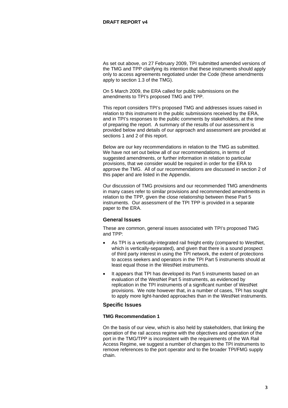As set out above, on 27 February 2009, TPI submitted amended versions of the TMG and TPP clarifying its intention that these instruments should apply only to access agreements negotiated under the Code (these amendments apply to section 1.3 of the TMG).

On 5 March 2009, the ERA called for public submissions on the amendments to TPI's proposed TMG and TPP.

This report considers TPI's proposed TMG and addresses issues raised in relation to this instrument in the public submissions received by the ERA, and in TPI's responses to the public comments by stakeholders, at the time of preparing the report. A summary of the results of our assessment is provided below and details of our approach and assessment are provided at sections 1 and 2 of this report.

Below are our key recommendations in relation to the TMG as submitted. We have not set out below all of our recommendations, in terms of suggested amendments, or further information in relation to particular provisions, that we consider would be required in order for the ERA to approve the TMG. All of our recommendations are discussed in section 2 of this paper and are listed in the Appendix.

Our discussion of TMG provisions and our recommended TMG amendments in many cases refer to similar provisions and recommended amendments in relation to the TPP, given the close relationship between these Part 5 instruments. Our assessment of the TPI TPP is provided in a separate paper to the ERA.

# **General Issues**

These are common, general issues associated with TPI's proposed TMG and TPP:

- As TPI is a vertically-integrated rail freight entity (compared to WestNet, which is vertically-separated), and given that there is a sound prospect of third party interest in using the TPI network, the extent of protections to access seekers and operators in the TPI Part 5 instruments should at least equal those in the WestNet instruments.
- It appears that TPI has developed its Part 5 instruments based on an evaluation of the WestNet Part 5 instruments, as evidenced by replication in the TPI instruments of a significant number of WestNet provisions. We note however that, in a number of cases, TPI has sought to apply more light-handed approaches than in the WestNet instruments.

# **Specific Issues**

# **TMG Recommendation 1**

On the basis of our view, which is also held by stakeholders, that linking the operation of the rail access regime with the objectives and operation of the port in the TMG/TPP is inconsistent with the requirements of the WA Rail Access Regime, we suggest a number of changes to the TPI instruments to remove references to the port operator and to the broader TPI/FMG supply chain.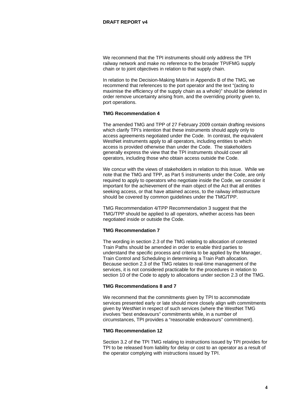We recommend that the TPI instruments should only address the TPI railway network and make no reference to the broader TPI/FMG supply chain or to joint objectives in relation to that supply chain.

In relation to the Decision-Making Matrix in Appendix B of the TMG, we recommend that references to the port operator and the text "(acting to maximise the efficiency of the supply chain as a whole)" should be deleted in order remove uncertainty arising from, and the overriding priority given to, port operations.

#### **TMG Recommendation 4**

The amended TMG and TPP of 27 February 2009 contain drafting revisions which clarify TPI's intention that these instruments should apply only to access agreements negotiated under the Code. In contrast, the equivalent WestNet instruments apply to all operators, including entities to which access is provided otherwise than under the Code. The stakeholders generally express the view that the TPI instruments should cover all operators, including those who obtain access outside the Code.

We concur with the views of stakeholders in relation to this issue. While we note that the TMG and TPP, as Part 5 instruments under the Code, are only required to apply to operators who negotiate inside the Code, we consider it important for the achievement of the main object of the Act that all entities seeking access, or that have attained access, to the railway infrastructure should be covered by common guidelines under the TMG/TPP.

TMG Recommendation 4/TPP Recommendation 3 suggest that the TMG/TPP should be applied to all operators, whether access has been negotiated inside or outside the Code.

# **TMG Recommendation 7**

The wording in section 2.3 of the TMG relating to allocation of contested Train Paths should be amended in order to enable third parties to understand the specific process and criteria to be applied by the Manager, Train Control and Scheduling in determining a Train Path allocation. Because section 2.3 of the TMG relates to real-time management of the services, it is not considered practicable for the procedures in relation to section 10 of the Code to apply to allocations under section 2.3 of the TMG.

# **TMG Recommendations 8 and 7**

We recommend that the commitments given by TPI to accommodate services presented early or late should more closely align with commitments given by WestNet in respect of such services (where the WestNet TMG involves "best endeavours" commitments while, in a number of circumstances, TPI provides a "reasonable endeavours" commitment).

#### **TMG Recommendation 12**

Section 3.2 of the TPI TMG relating to instructions issued by TPI provides for TPI to be released from liability for delay or cost to an operator as a result of the operator complying with instructions issued by TPI.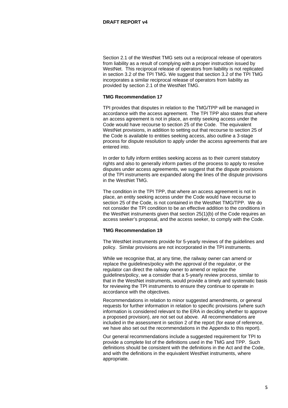Section 2.1 of the WestNet TMG sets out a reciprocal release of operators from liability as a result of complying with a proper instruction issued by WestNet. This reciprocal release of operators from liability is not replicated in section 3.2 of the TPI TMG. We suggest that section 3.2 of the TPI TMG incorporates a similar reciprocal release of operators from liability as provided by section 2.1 of the WestNet TMG.

#### **TMG Recommendation 17**

TPI provides that disputes in relation to the TMG/TPP will be managed in accordance with the access agreement. The TPI TPP also states that where an access agreement is not in place, an entity seeking access under the Code would have recourse to section 25 of the Code. The equivalent WestNet provisions, in addition to setting out that recourse to section 25 of the Code is available to entities seeking access, also outline a 3-stage process for dispute resolution to apply under the access agreements that are entered into.

In order to fully inform entities seeking access as to their current statutory rights and also to generally inform parties of the process to apply to resolve disputes under access agreements, we suggest that the dispute provisions of the TPI instruments are expanded along the lines of the dispute provisions in the WestNet TMG.

The condition in the TPI TPP, that where an access agreement is not in place, an entity seeking access under the Code would have recourse to section 25 of the Code, is not contained in the WestNet TMG/TPP. We do not consider the TPI condition to be an effective addition to the conditions in the WestNet instruments given that section 25(1)(b) of the Code requires an access seeker's proposal, and the access seeker, to comply with the Code.

# **TMG Recommendation 19**

The WestNet instruments provide for 5-yearly reviews of the guidelines and policy. Similar provisions are not incorporated in the TPI instruments.

While we recognise that, at any time, the railway owner can amend or replace the guidelines/policy with the approval of the regulator, or the regulator can direct the railway owner to amend or replace the guidelines/policy, we a consider that a 5-yearly review process, similar to that in the WestNet instruments, would provide a timely and systematic basis for reviewing the TPI instruments to ensure they continue to operate in accordance with the objectives.

Recommendations in relation to minor suggested amendments, or general requests for further information in relation to specific provisions (where such information is considered relevant to the ERA in deciding whether to approve a proposed provision), are not set out above. All recommendations are included in the assessment in section 2 of the report (for ease of reference, we have also set out the recommendations in the Appendix to this report).

Our general recommendations include a suggested requirement for TPI to provide a complete list of the definitions used in the TMG and TPP. Such definitions should be consistent with the definitions in the Act and the Code, and with the definitions in the equivalent WestNet instruments, where appropriate.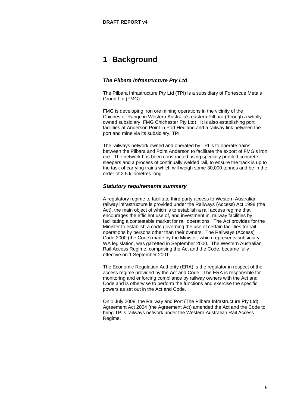# <span id="page-6-0"></span>**1 Background**

# *The Pilbara Infrastructure Pty Ltd*

The Pilbara Infrastructure Pty Ltd (TPI) is a subsidiary of Fortescue Metals Group Ltd (FMG).

FMG is developing iron ore mining operations in the vicinity of the Chichester Range in Western Australia's eastern Pilbara (through a wholly owned subsidiary, FMG Chichester Pty Ltd). It is also establishing port facilities at Anderson Point in Port Hedland and a railway link between the port and mine via its subsidiary, TPI.

The railways network owned and operated by TPI is to operate trains between the Pilbara and Point Anderson to facilitate the export of FMG's iron ore. The network has been constructed using specially profiled concrete sleepers and a process of continually welded rail, to ensure the track is up to the task of carrying trains which will weigh some 30,000 tonnes and be in the order of 2.5 kilometres long.

# *Statutory requirements summary*

A regulatory regime to facilitate third party access to Western Australian railway infrastructure is provided under the Railways (Access) Act 1998 (the Act), the main object of which is to establish a rail access regime that encourages the efficient use of, and investment in, railway facilities by facilitating a contestable market for rail operations. The Act provides for the Minister to establish a code governing the use of certain facilities for rail operations by persons other than their owners. The Railways (Access) Code 2000 (the Code) made by the Minister, which represents subsidiary WA legislation, was gazetted in September 2000. The Western Australian Rail Access Regime, comprising the Act and the Code, became fully effective on 1 September 2001.

The Economic Regulation Authority (ERA) is the regulator in respect of the access regime provided by the Act and Code. The ERA is responsible for monitoring and enforcing compliance by railway owners with the Act and Code and is otherwise to perform the functions and exercise the specific powers as set out in the Act and Code.

On 1 July 2008, the Railway and Port (The Pilbara Infrastructure Pty Ltd) Agreement Act 2004 (the Agreement Act) amended the Act and the Code to bring TPI's railways network under the Western Australian Rail Access Regime.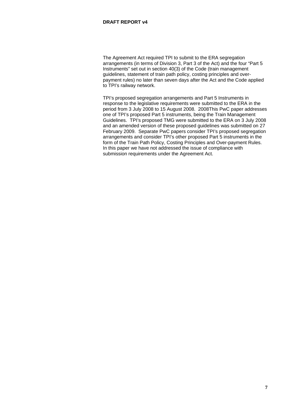The Agreement Act required TPI to submit to the ERA segregation arrangements (in terms of Division 3, Part 3 of the Act) and the four "Part 5 Instruments" set out in section 40(3) of the Code (train management guidelines, statement of train path policy, costing principles and overpayment rules) no later than seven days after the Act and the Code applied to TPI's railway network.

TPI's proposed segregation arrangements and Part 5 Instruments in response to the legislative requirements were submitted to the ERA in the period from 3 July 2008 to 15 August 2008. 2008This PwC paper addresses one of TPI's proposed Part 5 instruments, being the Train Management Guidelines. TPI's proposed TMG were submitted to the ERA on 3 July 2008 and an amended version of these proposed guidelines was submitted on 27 February 2009. Separate PwC papers consider TPI's proposed segregation arrangements and consider TPI's other proposed Part 5 instruments in the form of the Train Path Policy, Costing Principles and Over-payment Rules. In this paper we have not addressed the issue of compliance with submission requirements under the Agreement Act.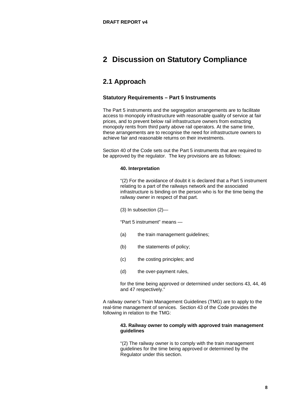# <span id="page-8-0"></span>**2 Discussion on Statutory Compliance**

# **2.1 Approach**

# **Statutory Requirements – Part 5 Instruments**

The Part 5 instruments and the segregation arrangements are to facilitate access to monopoly infrastructure with reasonable quality of service at fair prices, and to prevent below rail infrastructure owners from extracting monopoly rents from third party above rail operators. At the same time, these arrangements are to recognise the need for infrastructure owners to achieve fair and reasonable returns on their investments.

Section 40 of the Code sets out the Part 5 instruments that are required to be approved by the regulator. The key provisions are as follows:

# **40. Interpretation**

"(2) For the avoidance of doubt it is declared that a Part 5 instrument relating to a part of the railways network and the associated infrastructure is binding on the person who is for the time being the railway owner in respect of that part.

(3) In subsection (2)—

"Part 5 instrument" means —

- (a) the train management guidelines;
- (b) the statements of policy;
- (c) the costing principles; and
- (d) the over-payment rules,

for the time being approved or determined under sections 43, 44, 46 and 47 respectively."

A railway owner's Train Management Guidelines (TMG) are to apply to the real-time management of services. Section 43 of the Code provides the following in relation to the TMG:

# **43. Railway owner to comply with approved train management guidelines**

"(2) The railway owner is to comply with the train management guidelines for the time being approved or determined by the Regulator under this section.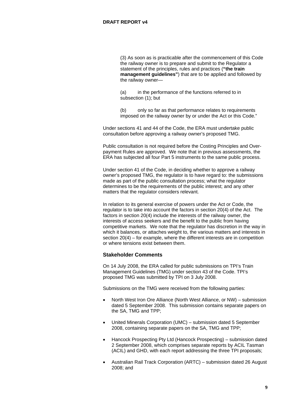(3) As soon as is practicable after the commencement of this Code the railway owner is to prepare and submit to the Regulator a statement of the principles, rules and practices (**"the train management guidelines"**) that are to be applied and followed by the railway owner—

(a) in the performance of the functions referred to in subsection (1); but

(b) only so far as that performance relates to requirements imposed on the railway owner by or under the Act or this Code."

Under sections 41 and 44 of the Code, the ERA must undertake public consultation before approving a railway owner's proposed TMG.

Public consultation is not required before the Costing Principles and Overpayment Rules are approved. We note that in previous assessments, the ERA has subjected all four Part 5 instruments to the same public process.

Under section 41 of the Code, in deciding whether to approve a railway owner's proposed TMG, the regulator is to have regard to: the submissions made as part of the public consultation process; what the regulator determines to be the requirements of the public interest; and any other matters that the regulator considers relevant.

In relation to its general exercise of powers under the Act or Code, the regulator is to take into account the factors in section 20(4) of the Act. The factors in section 20(4) include the interests of the railway owner, the interests of access seekers and the benefit to the public from having competitive markets. We note that the regulator has discretion in the way in which it balances, or attaches weight to, the various matters and interests in section 20(4) – for example, where the different interests are in competition or where tensions exist between them.

# **Stakeholder Comments**

On 14 July 2008, the ERA called for public submissions on TPI's Train Management Guidelines (TMG) under section 43 of the Code. TPI's proposed TMG was submitted by TPI on 3 July 2008.

Submissions on the TMG were received from the following parties:

- North West Iron Ore Alliance (North West Alliance, or NW) submission dated 5 September 2008. This submission contains separate papers on the SA, TMG and TPP;
- United Minerals Corporation (UMC) submission dated 5 September 2008, containing separate papers on the SA, TMG and TPP;
- Hancock Prospecting Pty Ltd (Hancock Prospecting) submission dated 2 September 2008, which comprises separate reports by ACIL Tasman (ACIL) and GHD, with each report addressing the three TPI proposals;
- Australian Rail Track Corporation (ARTC) submission dated 26 August 2008; and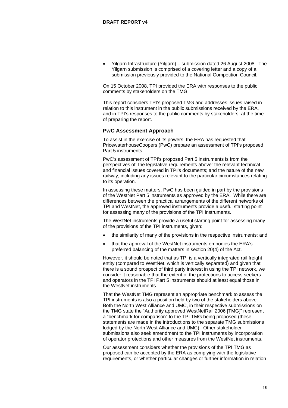• Yilgarn Infrastructure (Yilgarn) – submission dated 26 August 2008. The Yilgarn submission is comprised of a covering letter and a copy of a submission previously provided to the National Competition Council.

On 15 October 2008, TPI provided the ERA with responses to the public comments by stakeholders on the TMG.

This report considers TPI's proposed TMG and addresses issues raised in relation to this instrument in the public submissions received by the ERA, and in TPI's responses to the public comments by stakeholders, at the time of preparing the report.

# **PwC Assessment Approach**

To assist in the exercise of its powers, the ERA has requested that PricewaterhouseCoopers (PwC) prepare an assessment of TPI's proposed Part 5 instruments.

PwC's assessment of TPI's proposed Part 5 instruments is from the perspectives of: the legislative requirements above: the relevant technical and financial issues covered in TPI's documents; and the nature of the new railway, including any issues relevant to the particular circumstances relating to its operation.

In assessing these matters, PwC has been guided in part by the provisions of the WestNet Part 5 instruments as approved by the ERA. While there are differences between the practical arrangements of the different networks of TPI and WestNet, the approved instruments provide a useful starting point for assessing many of the provisions of the TPI instruments.

The WestNet instruments provide a useful starting point for assessing many of the provisions of the TPI instruments, given:

- the similarity of many of the provisions in the respective instruments; and
- that the approval of the WestNet instruments embodies the ERA's preferred balancing of the matters in section 20(4) of the Act.

However, it should be noted that as TPI is a vertically integrated rail freight entity (compared to WestNet, which is vertically separated) and given that there is a sound prospect of third party interest in using the TPI network, we consider it reasonable that the extent of the protections to access seekers and operators in the TPI Part 5 instruments should at least equal those in the WestNet instruments.

That the WestNet TMG represent an appropriate benchmark to assess the TPI instruments is also a position held by two of the stakeholders above. Both the North West Alliance and UMC, in their respective submissions on the TMG state the "Authority approved WestNetRail 2006 [TMG]" represent a "benchmark for comparison" to the TPI TMG being proposed (these statements are made in the introductions to the separate TMG submissions lodged by the North West Alliance and UMC). Other stakeholder submissions also seek amendment to the TPI instruments by incorporation of operator protections and other measures from the WestNet instruments.

Our assessment considers whether the provisions of the TPI TMG as proposed can be accepted by the ERA as complying with the legislative requirements, or whether particular changes or further information in relation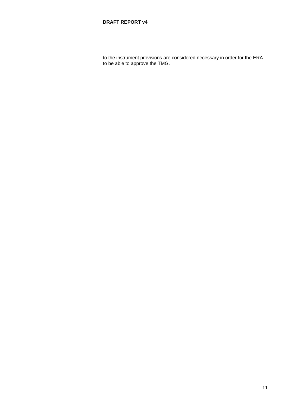to the instrument provisions are considered necessary in order for the ERA to be able to approve the TMG.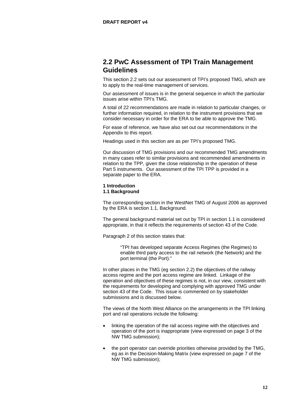# **2.2 PwC Assessment of TPI Train Management Guidelines**

This section 2.2 sets out our assessment of TPI's proposed TMG, which are to apply to the real-time management of services.

Our assessment of issues is in the general sequence in which the particular issues arise within TPI's TMG.

A total of 22 recommendations are made in relation to particular changes, or further information required, in relation to the instrument provisions that we consider necessary in order for the ERA to be able to approve the TMG.

For ease of reference, we have also set out our recommendations in the Appendix to this report.

Headings used in this section are as per TPI's proposed TMG.

Our discussion of TMG provisions and our recommended TMG amendments in many cases refer to similar provisions and recommended amendments in relation to the TPP, given the close relationship in the operation of these Part 5 instruments. Our assessment of the TPI TPP is provided in a separate paper to the ERA.

# **1 Introduction 1.1 Background**

The corresponding section in the WestNet TMG of August 2006 as approved by the ERA is section 1.1, Background.

The general background material set out by TPI in section 1.1 is considered appropriate, in that it reflects the requirements of section 43 of the Code.

Paragraph 2 of this section states that:

"TPI has developed separate Access Regimes (the Regimes) to enable third party access to the rail network (the Network) and the port terminal (the Port)."

In other places in the TMG (eg section 2.2) the objectives of the railway access regime and the port access regime are linked. Linkage of the operation and objectives of these regimes is not, in our view, consistent with the requirements for developing and complying with approved TMG under section 43 of the Code. This issue is commented on by stakeholder submissions and is discussed below.

The views of the North West Alliance on the arrangements in the TPI linking port and rail operations include the following:

- linking the operation of the rail access regime with the objectives and operation of the port is inappropriate (view expressed on page 3 of the NW TMG submission);
- the port operator can override priorities otherwise provided by the TMG, eg as in the Decision-Making Matrix (view expressed on page 7 of the NW TMG submission);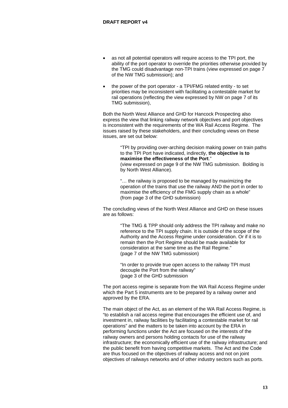- as not all potential operators will require access to the TPI port, the ability of the port operator to override the priorities otherwise provided by the TMG could disadvantage non-TPI trains (view expressed on page 7 of the NW TMG submission); and
- the power of the port operator a TPI/FMG related entity to set priorities may be inconsistent with facilitating a contestable market for rail operations (reflecting the view expressed by NW on page 7 of its TMG submission),

Both the North West Alliance and GHD for Hancock Prospecting also express the view that linking railway network objectives and port objectives is inconsistent with the requirements of the WA Rail Access Regime. The issues raised by these stakeholders, and their concluding views on these issues, are set out below:

> "TPI by providing over-arching decision making power on train paths to the TPI Port have indicated, indirectly, **the objective is to maximise the effectiveness of the Port**." (view expressed on page 9 of the NW TMG submission. Bolding is

by North West Alliance).

"… the railway is proposed to be managed by maximizing the operation of the trains that use the railway AND the port in order to maximise the efficiency of the FMG supply chain as a whole" (from page 3 of the GHD submission)

The concluding views of the North West Alliance and GHD on these issues are as follows:

> "The TMG & TPP should only address the TPI railway and make no reference to the TPI supply chain. It is outside of the scope of the Authority and the Access Regime under consideration. Or if it is to remain then the Port Regime should be made available for consideration at the same time as the Rail Regime." (page 7 of the NW TMG submission)

"In order to provide true open access to the railway TPI must decouple the Port from the railway" (page 3 of the GHD submission

The port access regime is separate from the WA Rail Access Regime under which the Part 5 instruments are to be prepared by a railway owner and approved by the ERA.

The main object of the Act, as an element of the WA Rail Access Regime, is "to establish a rail access regime that encourages the efficient use of, and investment in, railway facilities by facilitating a contestable market for rail operations" and the matters to be taken into account by the ERA in performing functions under the Act are focused on the interests of the railway owners and persons holding contacts for use of the railway infrastructure; the economically efficient use of the railway infrastructure; and the public benefit from having competitive markets. The Act and the Code are thus focused on the objectives of railway access and not on joint objectives of railways networks and of other industry sectors such as ports.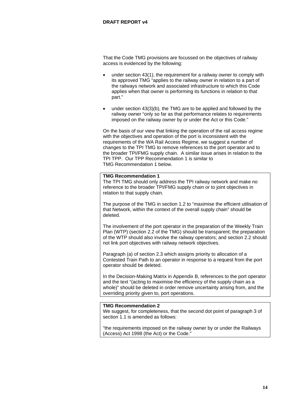That the Code TMG provisions are focussed on the objectives of railway access is evidenced by the following:

- under section 43(1), the requirement for a railway owner to comply with its approved TMG "applies to the railway owner in relation to a part of the railways network and associated infrastructure to which this Code applies when that owner is performing its functions in relation to that part."
- under section  $43(3)(b)$ , the TMG are to be applied and followed by the railway owner "only so far as that performance relates to requirements imposed on the railway owner by or under the Act or this Code."

On the basis of our view that linking the operation of the rail access regime with the objectives and operation of the port is inconsistent with the requirements of the WA Rail Access Regime, we suggest a number of changes to the TPI TMG to remove references to the port operator and to the broader TPI/FMG supply chain. A similar issue arises in relation to the TPI TPP. Our TPP Recommendation 1 is similar to TMG Recommendation 1 below.

# **TMG Recommendation 1**

The TPI TMG should only address the TPI railway network and make no reference to the broader TPI/FMG supply chain or to joint objectives in relation to that supply chain.

The purpose of the TMG in section 1.2 to "maximise the efficient utilisation of that Network, within the context of the overall supply chain" should be deleted.

The involvement of the port operator in the preparation of the Weekly Train Plan (WTP) (section 2.2 of the TMG) should be transparent; the preparation of the WTP should also involve the railway operators; and section 2.2 should not link port objectives with railway network objectives.

Paragraph (a) of section 2.3 which assigns priority to allocation of a Contested Train Path to an operator in response to a request from the port operator should be deleted.

In the Decision-Making Matrix in Appendix B, references to the port operator and the text "(acting to maximise the efficiency of the supply chain as a whole)" should be deleted in order remove uncertainty arising from, and the overriding priority given to, port operations.

# **TMG Recommendation 2**

We suggest, for completeness, that the second dot point of paragraph 3 of section 1.1 is amended as follows:

"the requirements imposed on the railway owner by or under the Railways (Access) Act 1998 (the Act) or the Code."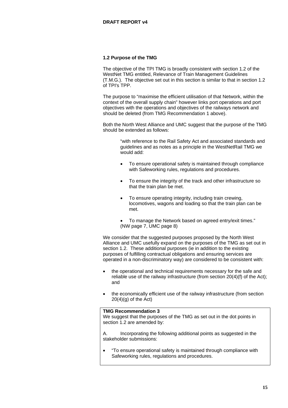# **1.2 Purpose of the TMG**

The objective of the TPI TMG is broadly consistent with section 1.2 of the WestNet TMG entitled, Relevance of Train Management Guidelines (T.M.G.). The objective set out in this section is similar to that in section 1.2 of TPI's TPP.

The purpose to "maximise the efficient utilisation of that Network, within the context of the overall supply chain" however links port operations and port objectives with the operations and objectives of the railways network and should be deleted (from TMG Recommendation 1 above).

Both the North West Alliance and UMC suggest that the purpose of the TMG should be extended as follows:

> "with reference to the Rail Safety Act and associated standards and guidelines and as notes as a principle in the WestNetRail TMG we would add:

- To ensure operational safety is maintained through compliance with Safeworking rules, regulations and procedures.
- To ensure the integrity of the track and other infrastructure so that the train plan be met.
- To ensure operating integrity, including train crewing, locomotives, wagons and loading so that the train plan can be met.

• To manage the Network based on agreed entry/exit times." (NW page 7, UMC page 8)

We consider that the suggested purposes proposed by the North West Alliance and UMC usefully expand on the purposes of the TMG as set out in section 1.2. These additional purposes (ie in addition to the existing purposes of fulfilling contractual obligations and ensuring services are operated in a non-discriminatory way) are considered to be consistent with:

- the operational and technical requirements necessary for the safe and reliable use of the railway infrastructure (from section 20(4)(f) of the Act); and
- the economically efficient use of the railway infrastructure (from section  $20(4)(g)$  of the Act)

# **TMG Recommendation 3**

We suggest that the purposes of the TMG as set out in the dot points in section 1.2 are amended by:

A. Incorporating the following additional points as suggested in the stakeholder submissions:

• "To ensure operational safety is maintained through compliance with Safeworking rules, regulations and procedures.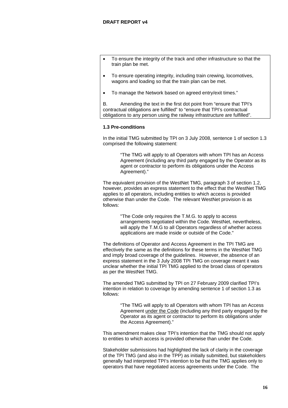- To ensure the integrity of the track and other infrastructure so that the train plan be met.
- To ensure operating integrity, including train crewing, locomotives, wagons and loading so that the train plan can be met.
- To manage the Network based on agreed entry/exit times."

B. Amending the text in the first dot point from "ensure that TPI's contractual obligations are fulfilled" to "ensure that TPI's contractual obligations to any person using the railway infrastructure are fulfilled".

## **1.3 Pre-conditions**

In the initial TMG submitted by TPI on 3 July 2008, sentence 1 of section 1.3 comprised the following statement:

> "The TMG will apply to all Operators with whom TPI has an Access Agreement (including any third party engaged by the Operator as its agent or contractor to perform its obligations under the Access Agreement)."

The equivalent provision of the WestNet TMG, paragraph 3 of section 1.2, however, provides an express statement to the effect that the WestNet TMG applies to all operators, including entities to which access is provided otherwise than under the Code. The relevant WestNet provision is as follows:

> "The Code only requires the T.M.G. to apply to access arrangements negotiated within the Code. WestNet, nevertheless, will apply the T.M.G to all Operators regardless of whether access applications are made inside or outside of the Code."

The definitions of Operator and Access Agreement in the TPI TMG are effectively the same as the definitions for these terms in the WestNet TMG and imply broad coverage of the guidelines. However, the absence of an express statement in the 3 July 2008 TPI TMG on coverage meant it was unclear whether the initial TPI TMG applied to the broad class of operators as per the WestNet TMG.

The amended TMG submitted by TPI on 27 February 2009 clarified TPI's intention in relation to coverage by amending sentence 1 of section 1.3 as follows:

> "The TMG will apply to all Operators with whom TPI has an Access Agreement under the Code (including any third party engaged by the Operator as its agent or contractor to perform its obligations under the Access Agreement)."

This amendment makes clear TPI's intention that the TMG should not apply to entities to which access is provided otherwise than under the Code.

Stakeholder submissions had highlighted the lack of clarity in the coverage of the TPI TMG (and also in the TPP) as initially submitted, but stakeholders generally had interpreted TPI's intention to be that the TMG applies only to operators that have negotiated access agreements under the Code. The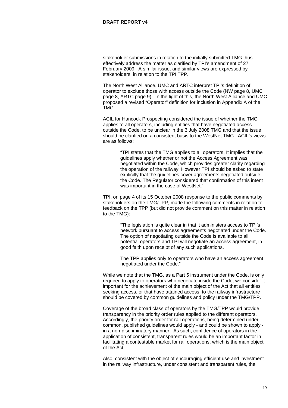stakeholder submissions in relation to the initially submitted TMG thus effectively address the matter as clarified by TPI's amendment of 27 February 2009. A similar issue, and similar views are expressed by stakeholders, in relation to the TPI TPP.

The North West Alliance, UMC and ARTC interpret TPI's definition of operator to exclude those with access outside the Code (NW page 8, UMC page 8, ARTC page 9). In the light of this, the North West Alliance and UMC proposed a revised "Operator" definition for inclusion in Appendix A of the TMG.

ACIL for Hancock Prospecting considered the issue of whether the TMG applies to all operators, including entities that have negotiated access outside the Code, to be unclear in the 3 July 2008 TMG and that the issue should be clarified on a consistent basis to the WestNet TMG. ACIL's views are as follows:

> "TPI states that the TMG applies to all operators. It implies that the guidelines apply whether or not the Access Agreement was negotiated within the Code, which provides greater clarity regarding the operation of the railway. However TPI should be asked to state explicitly that the guidelines cover agreements negotiated outside the Code. The Regulator considered that confirmation of this intent was important in the case of WestNet."

TPI, on page 4 of its 15 October 2008 response to the public comments by stakeholders on the TMG/TPP, made the following comments in relation to feedback on the TPP (but did not provide comment on this matter in relation to the TMG):

> "The legislation is quite clear in that it administers access to TPI's network pursuant to access agreements negotiated under the Code. The option of negotiating outside the Code is available to all potential operators and TPI will negotiate an access agreement, in good faith upon receipt of any such applications.

The TPP applies only to operators who have an access agreement negotiated under the Code."

While we note that the TMG, as a Part 5 instrument under the Code, is only required to apply to operators who negotiate inside the Code, we consider it important for the achievement of the main object of the Act that all entities seeking access, or that have attained access, to the railway infrastructure should be covered by common guidelines and policy under the TMG/TPP.

Coverage of the broad class of operators by the TMG/TPP would provide transparency in the priority order rules applied to the different operators. Accordingly, the priority order for rail operations, being determined under common, published guidelines would apply - and could be shown to apply in a non-discriminatory manner. As such, confidence of operators in the application of consistent, transparent rules would be an important factor in facilitating a contestable market for rail operations, which is the main object of the Act.

Also, consistent with the object of encouraging efficient use and investment in the railway infrastructure, under consistent and transparent rules, the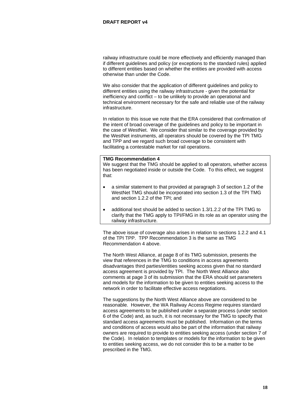railway infrastructure could be more effectively and efficiently managed than if different guidelines and policy (or exceptions to the standard rules) applied to different entities based on whether the entities are provided with access otherwise than under the Code.

We also consider that the application of different guidelines and policy to different entities using the railway infrastructure - given the potential for inefficiency and conflict – to be unlikely to provide an operational and technical environment necessary for the safe and reliable use of the railway infrastructure.

In relation to this issue we note that the ERA considered that confirmation of the intent of broad coverage of the guidelines and policy to be important in the case of WestNet. We consider that similar to the coverage provided by the WestNet instruments, all operators should be covered by the TPI TMG and TPP and we regard such broad coverage to be consistent with facilitating a contestable market for rail operations.

#### **TMG Recommendation 4**

We suggest that the TMG should be applied to all operators, whether access has been negotiated inside or outside the Code. To this effect, we suggest that:

- a similar statement to that provided at paragraph 3 of section 1.2 of the WestNet TMG should be incorporated into section 1.3 of the TPI TMG and section 1.2.2 of the TPI; and
- additional text should be added to section 1.3/1.2.2 of the TPI TMG to clarify that the TMG apply to TPI/FMG in its role as an operator using the railway infrastructure.

The above issue of coverage also arises in relation to sections 1.2.2 and 4.1 of the TPI TPP. TPP Recommendation 3 is the same as TMG Recommendation 4 above.

The North West Alliance, at page 8 of its TMG submission, presents the view that references in the TMG to conditions in access agreements disadvantages third parties/entities seeking access given that no standard access agreement is provided by TPI. The North West Alliance also comments at page 3 of its submission that the ERA should set parameters and models for the information to be given to entities seeking access to the network in order to facilitate effective access negotiations.

The suggestions by the North West Alliance above are considered to be reasonable. However, the WA Railway Access Regime requires standard access agreements to be published under a separate process (under section 6 of the Code) and, as such, it is not necessary for the TMG to specify that standard access agreements must be published. Information on the terms and conditions of access would also be part of the information that railway owners are required to provide to entities seeking access (under section 7 of the Code). In relation to templates or models for the information to be given to entities seeking access, we do not consider this to be a matter to be prescribed in the TMG.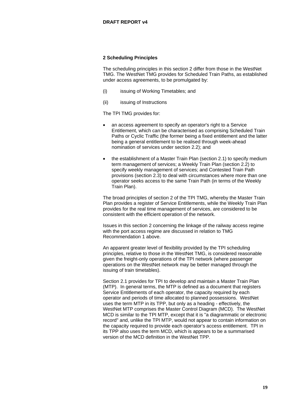# **2 Scheduling Principles**

The scheduling principles in this section 2 differ from those in the WestNet TMG. The WestNet TMG provides for Scheduled Train Paths, as established under access agreements, to be promulgated by:

- (i) issuing of Working Timetables; and
- (ii) issuing of Instructions

The TPI TMG provides for:

- an access agreement to specify an operator's right to a Service Entitlement, which can be characterised as comprising Scheduled Train Paths or Cyclic Traffic (the former being a fixed entitlement and the latter being a general entitlement to be realised through week-ahead nomination of services under section 2.2); and
- the establishment of a Master Train Plan (section 2.1) to specify medium term management of services; a Weekly Train Plan (section 2.2) to specify weekly management of services; and Contested Train Path provisions (section 2.3) to deal with circumstances where more than one operator seeks access to the same Train Path (in terms of the Weekly Train Plan).

The broad principles of section 2 of the TPI TMG, whereby the Master Train Plan provides a register of Service Entitlements, while the Weekly Train Plan provides for the real time management of services, are considered to be consistent with the efficient operation of the network.

Issues in this section 2 concerning the linkage of the railway access regime with the port access regime are discussed in relation to TMG Recommendation 1 above.

An apparent greater level of flexibility provided by the TPI scheduling principles, relative to those in the WestNet TMG, is considered reasonable given the freight-only operations of the TPI network (where passenger operations on the WestNet network may be better managed through the issuing of train timetables).

Section 2.1 provides for TPI to develop and maintain a Master Train Plan (MTP). In general terms, the MTP is defined as a document that registers Service Entitlements of each operator, the capacity required by each operator and periods of time allocated to planned possessions. WestNet uses the term MTP in its TPP, but only as a heading - effectively, the WestNet MTP comprises the Master Control Diagram (MCD). The WestNet MCD is similar to the TPI MTP, except that it is "a diagrammatic or electronic record" and, unlike the TPI MTP, would not appear to contain information on the capacity required to provide each operator's access entitlement. TPI in its TPP also uses the term MCD, which is appears to be a summarised version of the MCD definition in the WestNet TPP.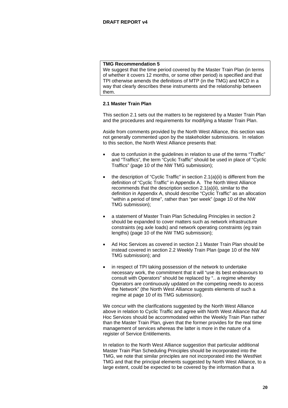We suggest that the time period covered by the Master Train Plan (in terms of whether it covers 12 months, or some other period) is specified and that TPI otherwise amends the definitions of MTP (in the TMG) and MCD in a way that clearly describes these instruments and the relationship between them.

# **2.1 Master Train Plan**

This section 2.1 sets out the matters to be registered by a Master Train Plan and the procedures and requirements for modifying a Master Train Plan.

Aside from comments provided by the North West Alliance, this section was not generally commented upon by the stakeholder submissions. In relation to this section, the North West Alliance presents that:

- due to confusion in the guidelines in relation to use of the terms "Traffic" and "Traffics", the term "Cyclic Traffic" should be used in place of "Cyclic Traffics" (page 10 of the NW TMG submission);
- the description of "Cyclic Traffic" in section 2.1(a)(ii) is different from the definition of "Cyclic Traffic" in Appendix A. The North West Alliance recommends that the description section 2.1(a)(ii), similar to the definition in Appendix A, should describe "Cyclic Traffic" as an allocation "within a period of time", rather than "per week" (page 10 of the NW TMG submission);
- a statement of Master Train Plan Scheduling Principles in section 2 should be expanded to cover matters such as network infrastructure constraints (eg axle loads) and network operating constraints (eg train lengths) (page 10 of the NW TMG submission);
- Ad Hoc Services as covered in section 2.1 Master Train Plan should be instead covered in section 2.2 Weekly Train Plan (page 10 of the NW TMG submission); and
- in respect of TPI taking possession of the network to undertake necessary work, the commitment that it will "use its best endeavours to consult with Operators" should be replaced by ".. a regime whereby Operators are continuously updated on the competing needs to access the Network" (the North West Alliance suggests elements of such a regime at page 10 of its TMG submission).

We concur with the clarifications suggested by the North West Alliance above in relation to Cyclic Traffic and agree with North West Alliance that Ad Hoc Services should be accommodated within the Weekly Train Plan rather than the Master Train Plan, given that the former provides for the real time management of services whereas the latter is more in the nature of a register of Service Entitlements.

In relation to the North West Alliance suggestion that particular additional Master Train Plan Scheduling Principles should be incorporated into the TMG, we note that similar principles are not incorporated into the WestNet TMG and that the principal elements suggested by North West Alliance, to a large extent, could be expected to be covered by the information that a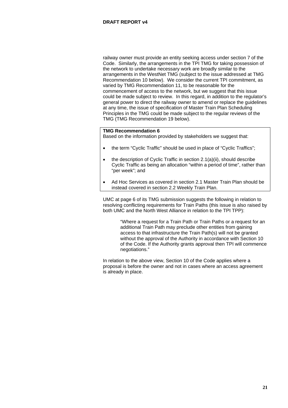railway owner must provide an entity seeking access under section 7 of the Code. Similarly, the arrangements in the TPI TMG for taking possession of the network to undertake necessary work are broadly similar to the arrangements in the WestNet TMG (subject to the issue addressed at TMG Recommendation 10 below). We consider the current TPI commitment, as varied by TMG Recommendation 11, to be reasonable for the commencement of access to the network, but we suggest that this issue could be made subject to review. In this regard, in addition to the regulator's general power to direct the railway owner to amend or replace the guidelines at any time, the issue of specification of Master Train Plan Scheduling Principles in the TMG could be made subject to the regular reviews of the TMG (TMG Recommendation 19 below).

# **TMG Recommendation 6**

Based on the information provided by stakeholders we suggest that:

- the term "Cyclic Traffic" should be used in place of "Cyclic Traffics";
- the description of Cyclic Traffic in section 2.1(a)(ii), should describe Cyclic Traffic as being an allocation "within a period of time", rather than "per week"; and
- Ad Hoc Services as covered in section 2.1 Master Train Plan should be instead covered in section 2.2 Weekly Train Plan.

UMC at page 6 of its TMG submission suggests the following in relation to resolving conflicting requirements for Train Paths (this issue is also raised by both UMC and the North West Alliance in relation to the TPI TPP):

> "Where a request for a Train Path or Train Paths or a request for an additional Train Path may preclude other entities from gaining access to that infrastructure the Train Path(s) will not be granted without the approval of the Authority in accordance with Section 10 of the Code. If the Authority grants approval then TPI will commence negotiations."

In relation to the above view, Section 10 of the Code applies where a proposal is before the owner and not in cases where an access agreement is already in place.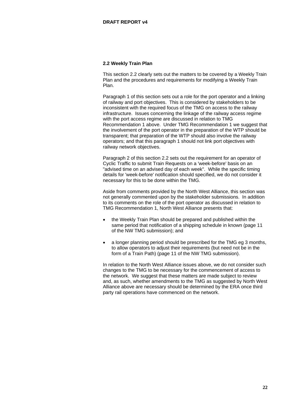# **2.2 Weekly Train Plan**

This section 2.2 clearly sets out the matters to be covered by a Weekly Train Plan and the procedures and requirements for modifying a Weekly Train Plan.

Paragraph 1 of this section sets out a role for the port operator and a linking of railway and port objectives. This is considered by stakeholders to be inconsistent with the required focus of the TMG on access to the railway infrastructure. Issues concerning the linkage of the railway access regime with the port access regime are discussed in relation to TMG Recommendation 1 above. Under TMG Recommendation 1 we suggest that the involvement of the port operator in the preparation of the WTP should be transparent; that preparation of the WTP should also involve the railway operators; and that this paragraph 1 should not link port objectives with railway network objectives.

Paragraph 2 of this section 2.2 sets out the requirement for an operator of Cyclic Traffic to submit Train Requests on a 'week-before' basis on an "advised time on an advised day of each week". While the specific timing details for 'week-before' notification should specified, we do not consider it necessary for this to be done within the TMG.

Aside from comments provided by the North West Alliance, this section was not generally commented upon by the stakeholder submissions. In addition to its comments on the role of the port operator as discussed in relation to TMG Recommendation 1, North West Alliance presents that:

- the Weekly Train Plan should be prepared and published within the same period that notification of a shipping schedule in known (page 11 of the NW TMG submission); and
- a longer planning period should be prescribed for the TMG eg 3 months, to allow operators to adjust their requirements (but need not be in the form of a Train Path) (page 11 of the NW TMG submission).

In relation to the North West Alliance issues above, we do not consider such changes to the TMG to be necessary for the commencement of access to the network. We suggest that these matters are made subject to review and, as such, whether amendments to the TMG as suggested by North West Alliance above are necessary should be determined by the ERA once third party rail operations have commenced on the network.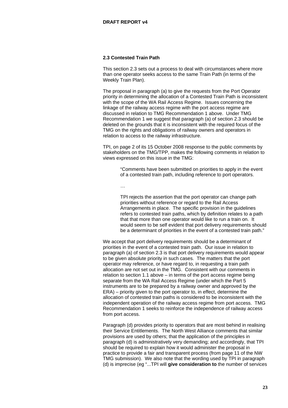# **2.3 Contested Train Path**

This section 2.3 sets out a process to deal with circumstances where more than one operator seeks access to the same Train Path (in terms of the Weekly Train Plan).

The proposal in paragraph (a) to give the requests from the Port Operator priority in determining the allocation of a Contested Train Path is inconsistent with the scope of the WA Rail Access Regime. Issues concerning the linkage of the railway access regime with the port access regime are discussed in relation to TMG Recommendation 1 above. Under TMG Recommendation 1 we suggest that paragraph (a) of section 2.3 should be deleted on the grounds that it is inconsistent with the required focus of the TMG on the rights and obligations of railway owners and operators in relation to access to the railway infrastructure.

TPI, on page 2 of its 15 October 2008 response to the public comments by stakeholders on the TMG/TPP, makes the following comments in relation to views expressed on this issue in the TMG:

> "Comments have been submitted on priorities to apply in the event of a contested train path, including reference to port operators.

…

TPI rejects the assertion that the port operator can change path priorities without reference or regard to the Rail Access Arrangements in place. The specific provision in the guidelines refers to contested train paths, which by definition relates to a path that that more than one operator would like to run a train on. It would seem to be self evident that port delivery requirements should be a determinant of priorities in the event of a contested train path."

We accept that port delivery requirements should be a determinant of priorities in the event of a contested train path. Our issue in relation to paragraph (a) of section 2.3 is that port delivery requirements would appear to be given absolute priority in such cases. The matters that the port operator may reference, or have regard to, in requesting a train path allocation are not set out in the TMG. Consistent with our comments in relation to section 1.1 above – in terms of the port access regime being separate from the WA Rail Access Regime (under which the Part 5 instruments are to be prepared by a railway owner and approved by the ERA) – priority given to the port operator to, in effect, determine the allocation of contested train paths is considered to be inconsistent with the independent operation of the railway access regime from port access. TMG Recommendation 1 seeks to reinforce the independence of railway access from port access.

Paragraph (d) provides priority to operators that are most behind in realising their Service Entitlements. The North West Alliance comments that similar provisions are used by others; that the application of the principles in paragraph (d) is administratively very demanding; and accordingly, that TPI should be required to explain how it would administer the proposal in practice to provide a fair and transparent process (from page 11 of the NW TMG submission). We also note that the wording used by TPI in paragraph (d) is imprecise (eg "...TPI will **give consideration to** the number of services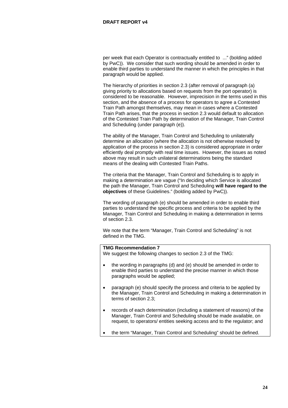per week that each Operator is contractually entitled to ..." (bolding added by PwC)). We consider that such wording should be amended in order to enable third parties to understand the manner in which the principles in that paragraph would be applied.

The hierarchy of priorities in section 2.3 (after removal of paragraph (a) giving priority to allocations based on requests from the port operator) is considered to be reasonable. However, imprecision in the terms used in this section, and the absence of a process for operators to agree a Contested Train Path amongst themselves, may mean in cases where a Contested Train Path arises, that the process in section 2.3 would default to allocation of the Contested Train Path by determination of the Manager, Train Control and Scheduling (under paragraph (e)).

The ability of the Manager, Train Control and Scheduling to unilaterally determine an allocation (where the allocation is not otherwise resolved by application of the process in section 2.3) is considered appropriate in order efficiently deal promptly with real time issues. However, the issues as noted above may result in such unilateral determinations being the standard means of the dealing with Contested Train Paths.

The criteria that the Manager, Train Control and Scheduling is to apply in making a determination are vague ("In deciding which Service is allocated the path the Manager, Train Control and Scheduling **will have regard to the objectives** of these Guidelines." (bolding added by PwC)).

The wording of paragraph (e) should be amended in order to enable third parties to understand the specific process and criteria to be applied by the Manager, Train Control and Scheduling in making a determination in terms of section 2.3.

We note that the term "Manager, Train Control and Scheduling" is not defined in the TMG.

# **TMG Recommendation 7**

We suggest the following changes to section 2.3 of the TMG:

- the wording in paragraphs (d) and (e) should be amended in order to enable third parties to understand the precise manner in which those paragraphs would be applied;
- paragraph (e) should specify the process and criteria to be applied by the Manager, Train Control and Scheduling in making a determination in terms of section 2.3;
- records of each determination (including a statement of reasons) of the Manager, Train Control and Scheduling should be made available, on request, to operators/ entities seeking access and to the regulator; and
- the term "Manager, Train Control and Scheduling" should be defined.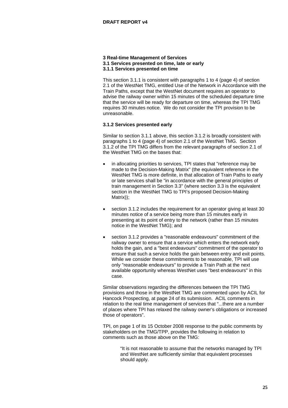#### **3 Real-time Management of Services 3.1 Services presented on time, late or early 3.1.1 Services presented on time**

This section 3.1.1 is consistent with paragraphs 1 to 4 (page 4) of section 2.1 of the WestNet TMG, entitled Use of the Network in Accordance with the Train Paths, except that the WestNet document requires an operator to advise the railway owner within 15 minutes of the scheduled departure time that the service will be ready for departure on time, whereas the TPI TMG requires 30 minutes notice. We do not consider the TPI provision to be unreasonable.

# **3.1.2 Services presented early**

Similar to section 3.1.1 above, this section 3.1.2 is broadly consistent with paragraphs 1 to 4 (page 4) of section 2.1 of the WestNet TMG. Section 3.1.2 of the TPI TMG differs from the relevant paragraphs of section 2.1 of the WestNet TMG on the bases that:

- in allocating priorities to services, TPI states that "reference may be made to the Decision-Making Matrix" (the equivalent reference in the WestNet TMG is more definite, in that allocation of Train Paths to early or late services shall be "in accordance with the general principles of train management in Section 3.3" (where section 3.3 is the equivalent section in the WestNet TMG to TPI's proposed Decision-Making Matrix));
- section 3.1.2 includes the requirement for an operator giving at least 30 minutes notice of a service being more than 15 minutes early in presenting at its point of entry to the network (rather than 15 minutes notice in the WestNet TMG); and
- section 3.1.2 provides a "reasonable endeavours" commitment of the railway owner to ensure that a service which enters the network early holds the gain, and a "best endeavours" commitment of the operator to ensure that such a service holds the gain between entry and exit points. While we consider these commitments to be reasonable, TPI will use only "reasonable endeavours" to provide a Train Path at the next available opportunity whereas WestNet uses "best endeavours" in this case.

Similar observations regarding the differences between the TPI TMG provisions and those in the WestNet TMG are commented upon by ACIL for Hancock Prospecting, at page 24 of its submission. ACIL comments in relation to the real time management of services that "...there are a number of places where TPI has relaxed the railway owner's obligations or increased those of operators".

TPI, on page 1 of its 15 October 2008 response to the public comments by stakeholders on the TMG/TPP, provides the following in relation to comments such as those above on the TMG:

> "It is not reasonable to assume that the networks managed by TPI and WestNet are sufficiently similar that equivalent processes should apply.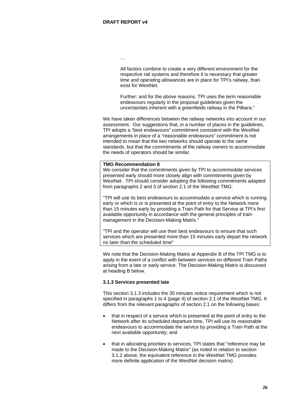…

All factors combine to create a very different environment for the respective rail systems and therefore it is necessary that greater time and operating allowances are in place for TPI's railway, than exist for WestNet.

Further; and for the above reasons, TPI uses the term reasonable endeavours regularly in the proposal guidelines given the uncertainties inherent with a greenfields railway in the Pilbara."

We have taken differences between the railway networks into account in our assessment. Our suggestions that, in a number of places in the guidelines, TPI adopts a "best endeavours" commitment consistent with the WestNet arrangements in place of a "reasonable endeavours" commitment is not intended to mean that the two networks should operate to the same standards, but that the commitments of the railway owners to accommodate the needs of operators should be similar.

#### **TMG Recommendation 8**

We consider that the commitments given by TPI to accommodate services presented early should more closely align with commitments given by WestNet. TPI should consider adopting the following commitments adapted from paragraphs 2 and 3 of section 2.1 of the WestNet TMG:

"TPI will use its best endeavours to accommodate a service which is running early or which is or is presented at the point of entry to the Network more than 15 minutes early by providing a Train Path for that Service at TPI's first available opportunity in accordance with the general principles of train management in the Decision-Making Matrix."

"TPI and the operator will use their best endeavours to ensure that such services which are presented more than 15 minutes early depart the network no later than the scheduled time"

We note that the Decision-Making Matrix at Appendix B of the TPI TMG is to apply in the event of a conflict with between services on different Train Paths arising from a late or early service. The Decision-Making Matrix is discussed at heading B below.

# **3.1.3 Services presented late**

This section 3.1.3 includes the 30 minutes notice requirement which is not specified in paragraphs 1 to 4 (page 4) of section 2.1 of the WestNet TMG. It differs from the relevant paragraphs of section 2.1 on the following bases:

- that in respect of a service which is presented at the point of entry to the Network after its scheduled departure time, TPI will use its reasonable endeavours to accommodate the service by providing a Train Path at the next available opportunity; and
- that in allocating priorities to services, TPI states that "reference may be made to the Decision-Making Matrix" (as noted in relation to section 3.1.2 above, the equivalent reference in the WestNet TMG provides more definite application of the WestNet decision matrix).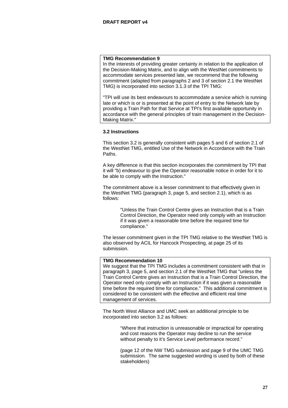In the interests of providing greater certainty in relation to the application of the Decision-Making Matrix, and to align with the WestNet commitments to accommodate services presented late, we recommend that the following commitment (adapted from paragraphs 2 and 3 of section 2.1 the WestNet TMG) is incorporated into section 3.1.3 of the TPI TMG:

"TPI will use its best endeavours to accommodate a service which is running late or which is or is presented at the point of entry to the Network late by providing a Train Path for that Service at TPI's first available opportunity in accordance with the general principles of train management in the Decision-Making Matrix."

#### **3.2 Instructions**

This section 3.2 is generally consistent with pages 5 and 6 of section 2.1 of the WestNet TMG, entitled Use of the Network in Accordance with the Train Paths.

A key difference is that this section incorporates the commitment by TPI that it will "b) endeavour to give the Operator reasonable notice in order for it to be able to comply with the Instruction."

The commitment above is a lesser commitment to that effectively given in the WestNet TMG (paragraph 3, page 5, and section 2.1), which is as follows:

> "Unless the Train Control Centre gives an Instruction that is a Train Control Direction, the Operator need only comply with an Instruction if it was given a reasonable time before the required time for compliance."

The lesser commitment given in the TPI TMG relative to the WestNet TMG is also observed by ACIL for Hancock Prospecting, at page 25 of its submission.

#### **TMG Recommendation 10**

We suggest that the TPI TMG includes a commitment consistent with that in paragraph 3, page 5, and section 2.1 of the WestNet TMG that "unless the Train Control Centre gives an Instruction that is a Train Control Direction, the Operator need only comply with an Instruction if it was given a reasonable time before the required time for compliance." This additional commitment is considered to be consistent with the effective and efficient real time management of services.

The North West Alliance and UMC seek an additional principle to be incorporated into section 3.2 as follows:

> "Where that instruction is unreasonable or impractical for operating and cost reasons the Operator may decline to run the service without penalty to it's Service Level performance record."

> (page 12 of the NW TMG submission and page 9 of the UMC TMG submission. The same suggested wording is used by both of these stakeholders)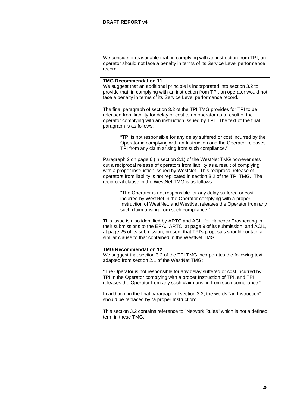We consider it reasonable that, in complying with an instruction from TPI, an operator should not face a penalty in terms of its Service Level performance record.

#### **TMG Recommendation 11**

We suggest that an additional principle is incorporated into section 3.2 to provide that, in complying with an instruction from TPI, an operator would not face a penalty in terms of its Service Level performance record.

The final paragraph of section 3.2 of the TPI TMG provides for TPI to be released from liability for delay or cost to an operator as a result of the operator complying with an instruction issued by TPI. The text of the final paragraph is as follows:

> "TPI is not responsible for any delay suffered or cost incurred by the Operator in complying with an Instruction and the Operator releases TPI from any claim arising from such compliance."

Paragraph 2 on page 6 (in section 2.1) of the WestNet TMG however sets out a reciprocal release of operators from liability as a result of complying with a proper instruction issued by WestNet. This reciprocal release of operators from liability is not replicated in section 3.2 of the TPI TMG. The reciprocal clause in the WestNet TMG is as follows:

> "The Operator is not responsible for any delay suffered or cost incurred by WestNet in the Operator complying with a proper Instruction of WestNet, and WestNet releases the Operator from any such claim arising from such compliance."

This issue is also identified by ARTC and ACIL for Hancock Prospecting in their submissions to the ERA. ARTC, at page 9 of its submission, and ACIL, at page 25 of its submission, present that TPI's proposals should contain a similar clause to that contained in the WestNet TMG.

# **TMG Recommendation 12**

We suggest that section 3.2 of the TPI TMG incorporates the following text adapted from section 2.1 of the WestNet TMG:

"The Operator is not responsible for any delay suffered or cost incurred by TPI in the Operator complying with a proper Instruction of TPI, and TPI releases the Operator from any such claim arising from such compliance."

In addition, in the final paragraph of section 3.2, the words "an Instruction" should be replaced by "a proper Instruction".

This section 3.2 contains reference to "Network Rules" which is not a defined term in these TMG.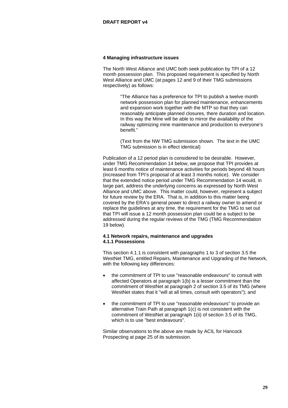#### **4 Managing infrastructure issues**

The North West Alliance and UMC both seek publication by TPI of a 12 month possession plan. This proposed requirement is specified by North West Alliance and UMC (at pages 12 and 9 of their TMG submissions respectively) as follows:

> "The Alliance has a preference for TPI to publish a twelve month network possession plan for planned maintenance, enhancements and expansion work together with the MTP so that they can reasonably anticipate planned closures, there duration and location. In this way the Mine will be able to mirror the availability of the railway optimizing mine maintenance and production to everyone's benefit."

(Text from the NW TMG submission shown. The text in the UMC TMG submission is in effect identical)

Publication of a 12 period plan is considered to be desirable. However, under TMG Recommendation 14 below, we propose that TPI provides at least 6 months notice of maintenance activities for periods beyond 48 hours (increased from TPI's proposal of at least 3 months notice). We consider that the extended notice period under TMG Recommendation 14 would, in large part, address the underlying concerns as expressed by North West Alliance and UMC above. This matter could, however, represent a subject for future review by the ERA. That is, in addition to this matter being covered by the ERA's general power to direct a railway owner to amend or replace the guidelines at any time, the requirement for the TMG to set out that TPI will issue a 12 month possession plan could be a subject to be addressed during the regular reviews of the TMG (TMG Recommendation 19 below).

# **4.1 Network repairs, maintenance and upgrades 4.1.1 Possessions**

This section 4.1.1 is consistent with paragraphs 1 to 3 of section 3.5 the WestNet TMG, entitled Repairs, Maintenance and Upgrading of the Network, with the following key differences:

- the commitment of TPI to use "reasonable endeavours" to consult with affected Operators at paragraph 1(b) is a lesser commitment than the commitment of WestNet at paragraph 2 of section 3.5 of its TMG (where WestNet states that it "will at all times, consult with operators"); and
- the commitment of TPI to use "reasonable endeavours" to provide an alternative Train Path at paragraph 1(c) is not consistent with the commitment of WestNet at paragraph 1(ii) of section 3.5 of its TMG, which is to use "best endeavours".

Similar observations to the above are made by ACIL for Hancock Prospecting at page 25 of its submission.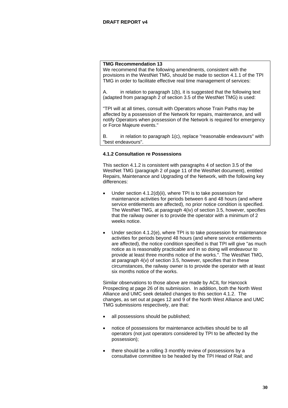We recommend that the following amendments, consistent with the provisions in the WestNet TMG, should be made to section 4.1.1 of the TPI TMG in order to facilitate effective real time management of services:

A. in relation to paragraph 1(b), it is suggested that the following text (adapted from paragraph 2 of section 3.5 of the WestNet TMG) is used:

"TPI will at all times, consult with Operators whose Train Paths may be affected by a possession of the Network for repairs, maintenance, and will notify Operators when possession of the Network is required for emergency or Force Majeure events."

B. in relation to paragraph 1(c), replace "reasonable endeavours" with "best endeavours".

# **4.1.2 Consultation re Possessions**

This section 4.1.2 is consistent with paragraphs 4 of section 3.5 of the WestNet TMG (paragraph 2 of page 11 of the WestNet document), entitled Repairs, Maintenance and Upgrading of the Network, with the following key differences:

- Under section 4.1.2(d)(ii), where TPI is to take possession for maintenance activities for periods between 6 and 48 hours (and where service entitlements are affected), no prior notice condition is specified. The WestNet TMG, at paragraph 4(iv) of section 3.5, however, specifies that the railway owner is to provide the operator with a minimum of 2 weeks notice.
- Under section 4.1.2(e), where TPI is to take possession for maintenance activities for periods beyond 48 hours (and where service entitlements are affected), the notice condition specified is that TPI will give "as much notice as is reasonably practicable and in so doing will endeavour to provide at least three months notice of the works.". The WestNet TMG, at paragraph 4(v) of section 3.5, however, specifies that in these circumstances, the railway owner is to provide the operator with at least six months notice of the works.

Similar observations to those above are made by ACIL for Hancock Prospecting at page 26 of its submission. In addition, both the North West Alliance and UMC seek detailed changes to this section 4.1.2. The changes, as set out at pages 12 and 9 of the North West Alliance and UMC TMG submissions respectively, are that:

- all possessions should be published;
- notice of possessions for maintenance activities should be to all operators (not just operators considered by TPI to be affected by the possession);
- there should be a rolling 3 monthly review of possessions by a consultative committee to be headed by the TPI Head of Rail; and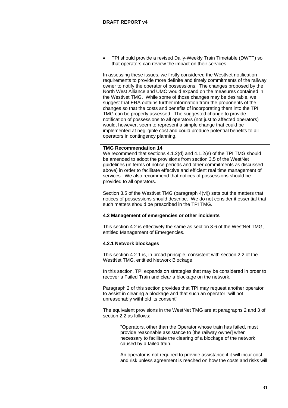• TPI should provide a revised Daily-Weekly Train Timetable (DWTT) so that operators can review the impact on their services.

In assessing these issues, we firstly considered the WestNet notification requirements to provide more definite and timely commitments of the railway owner to notify the operator of possessions. The changes proposed by the North West Alliance and UMC would expand on the measures contained in the WestNet TMG. While some of those changes may be desirable, we suggest that ERA obtains further information from the proponents of the changes so that the costs and benefits of incorporating them into the TPI TMG can be properly assessed. The suggested change to provide notification of possessions to all operators (not just to affected operators) would, however, seem to represent a simple change that could be implemented at negligible cost and could produce potential benefits to all operators in contingency planning.

#### **TMG Recommendation 14**

We recommend that sections 4.1.2(d) and 4.1.2(e) of the TPI TMG should be amended to adopt the provisions from section 3.5 of the WestNet guidelines (in terms of notice periods and other commitments as discussed above) in order to facilitate effective and efficient real time management of services. We also recommend that notices of possessions should be provided to all operators.

Section 3.5 of the WestNet TMG (paragraph 4(vi)) sets out the matters that notices of possessions should describe. We do not consider it essential that such matters should be prescribed in the TPI TMG.

# **4.2 Management of emergencies or other incidents**

This section 4.2 is effectively the same as section 3.6 of the WestNet TMG, entitled Management of Emergencies.

# **4.2.1 Network blockages**

This section 4.2.1 is, in broad principle, consistent with section 2.2 of the WestNet TMG, entitled Network Blockage.

In this section, TPI expands on strategies that may be considered in order to recover a Failed Train and clear a blockage on the network.

Paragraph 2 of this section provides that TPI may request another operator to assist in clearing a blockage and that such an operator "will not unreasonably withhold its consent".

The equivalent provisions in the WestNet TMG are at paragraphs 2 and 3 of section 2.2 as follows:

> "Operators, other than the Operator whose train has failed, must provide reasonable assistance to [the railway owner] when necessary to facilitate the clearing of a blockage of the network caused by a failed train.

An operator is not required to provide assistance if it will incur cost and risk unless agreement is reached on how the costs and risks will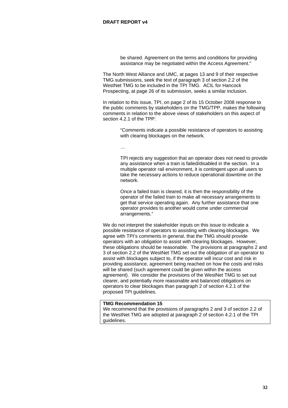be shared. Agreement on the terms and conditions for providing assistance may be negotiated within the Access Agreement."

The North West Alliance and UMC, at pages 13 and 9 of their respective TMG submissions, seek the text of paragraph 3 of section 2.2 of the WestNet TMG to be included in the TPI TMG. ACIL for Hancock Prospecting, at page 26 of its submission, seeks a similar inclusion.

In relation to this issue, TPI, on page 2 of its 15 October 2008 response to the public comments by stakeholders on the TMG/TPP, makes the following comments in relation to the above views of stakeholders on this aspect of section 4.2.1 of the TPP:

> "Comments indicate a possible resistance of operators to assisting with clearing blockages on the network.

…

TPI rejects any suggestion that an operator does not need to provide any assistance when a train is failed/disabled in the section. In a multiple operator rail environment, it is contingent upon all users to take the necessary actions to reduce operational downtime on the network.

Once a failed train is cleared, it is then the responsibility of the operator of the failed train to make all necessary arrangements to get that service operating again. Any further assistance that one operator provides to another would come under commercial arrangements."

We do not interpret the stakeholder inputs on this issue to indicate a possible resistance of operators to assisting with clearing blockages. We agree with TPI's comments in general, that the TMG should provide operators with an obligation to assist with clearing blockages. However, these obligations should be reasonable. The provisions at paragraphs 2 and 3 of section 2.2 of the WestNet TMG set out the obligation of an operator to assist with blockages subject to, if the operator will incur cost and risk in providing assistance, agreement being reached on how the costs and risks will be shared (such agreement could be given within the access agreement). We consider the provisions of the WestNet TMG to set out clearer, and potentially more reasonable and balanced obligations on operators to clear blockages than paragraph 2 of section 4.2.1 of the proposed TPI guidelines.

# **TMG Recommendation 15**

We recommend that the provisions of paragraphs 2 and 3 of section 2.2 of the WestNet TMG are adopted at paragraph 2 of section 4.2.1 of the TPI guidelines.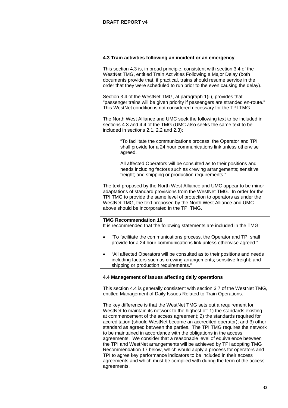# **4.3 Train activities following an incident or an emergency**

This section 4.3 is, in broad principle, consistent with section 3.4 of the WestNet TMG, entitled Train Activities Following a Major Delay (both documents provide that, if practical, trains should resume service in the order that they were scheduled to run prior to the even causing the delay).

Section 3.4 of the WestNet TMG, at paragraph 1(ii), provides that "passenger trains will be given priority if passengers are stranded en-route." This WestNet condition is not considered necessary for the TPI TMG.

The North West Alliance and UMC seek the following text to be included in sections 4.3 and 4.4 of the TMG (UMC also seeks the same text to be included in sections 2.1, 2.2 and 2.3):

> "To facilitate the communications process, the Operator and TPI shall provide for a 24 hour communications link unless otherwise agreed.

> All affected Operators will be consulted as to their positions and needs including factors such as crewing arrangements; sensitive freight; and shipping or production requirements."

The text proposed by the North West Alliance and UMC appear to be minor adaptations of standard provisions from the WestNet TMG. In order for the TPI TMG to provide the same level of protection to operators as under the WestNet TMG, the text proposed by the North West Alliance and UMC above should be incorporated in the TPI TMG.

# **TMG Recommendation 16**

It is recommended that the following statements are included in the TMG:

- "To facilitate the communications process, the Operator and TPI shall provide for a 24 hour communications link unless otherwise agreed."
- "All affected Operators will be consulted as to their positions and needs including factors such as crewing arrangements; sensitive freight; and shipping or production requirements."

#### **4.4 Management of issues affecting daily operations**

This section 4.4 is generally consistent with section 3.7 of the WestNet TMG, entitled Management of Daily Issues Related to Train Operations.

The key difference is that the WestNet TMG sets out a requirement for WestNet to maintain its network to the highest of: 1) the standards existing at commencement of the access agreement; 2) the standards required for accreditation (should WestNet become an accredited operator); and 3) other standard as agreed between the parties. The TPI TMG requires the network to be maintained in accordance with the obligations in the access agreements. We consider that a reasonable level of equivalence between the TPI and WestNet arrangements will be achieved by TPI adopting TMG Recommendation 17 below, which would apply a process for operators and TPI to agree key performance indicators to be included in their access agreements and which must be complied with during the term of the access agreements.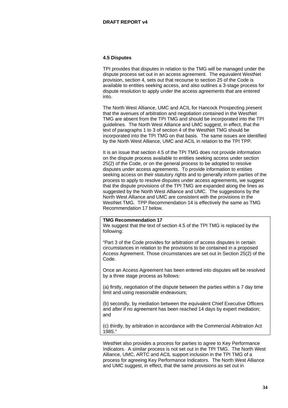#### **4.5 Disputes**

TPI provides that disputes in relation to the TMG will be managed under the dispute process set out in an access agreement. The equivalent WestNet provision, section 4, sets out that recourse to section 25 of the Code is available to entities seeking access, and also outlines a 3-stage process for dispute resolution to apply under the access agreements that are entered into.

The North West Alliance, UMC and ACIL for Hancock Prospecting present that the avenues of arbitration and negotiation contained in the WestNet TMG are absent from the TPI TMG and should be incorporated into the TPI guidelines. The North West Alliance and UMC suggest, in effect, that the text of paragraphs 1 to 3 of section 4 of the WestNet TMG should be incorporated into the TPI TMG on that basis. The same issues are identified by the North West Alliance, UMC and ACIL in relation to the TPI TPP.

It is an issue that section 4.5 of the TPI TMG does not provide information on the dispute process available to entities seeking access under section 25(2) of the Code, or on the general process to be adopted to resolve disputes under access agreements. To provide information to entities seeking access on their statutory rights and to generally inform parties of the process to apply to resolve disputes under access agreements, we suggest that the dispute provisions of the TPI TMG are expanded along the lines as suggested by the North West Alliance and UMC. The suggestions by the North West Alliance and UMC are consistent with the provisions in the WestNet TMG. TPP Recommendation 14 is effectively the same as TMG Recommendation 17 below.

# **TMG Recommendation 17**

We suggest that the text of section 4.5 of the TPI TMG is replaced by the following:

"Part 3 of the Code provides for arbitration of access disputes in certain circumstances in relation to the provisions to be contained in a proposed Access Agreement. Those circumstances are set out in Section 25(2) of the Code.

Once an Access Agreement has been entered into disputes will be resolved by a three stage process as follows:

(a) firstly, negotiation of the dispute between the parties within a 7 day time limit and using reasonable endeavours;

(b) secondly, by mediation between the equivalent Chief Executive Officers and after if no agreement has been reached 14 days by expert mediation; and

(c) thirdly, by arbitration in accordance with the Commercial Arbitration Act 1985."

WestNet also provides a process for parties to agree to Key Performance Indicators. A similar process is not set out in the TPI TMG. The North West Alliance, UMC, ARTC and ACIL support inclusion in the TPI TMG of a process for agreeing Key Performance Indicators. The North West Alliance and UMC suggest, in effect, that the same provisions as set out in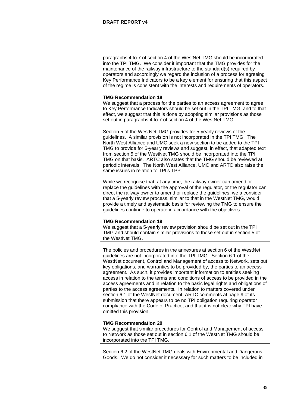paragraphs 4 to 7 of section 4 of the WestNet TMG should be incorporated into the TPI TMG. We consider it important that the TMG provides for the maintenance of the railway infrastructure to the standard(s) required by operators and accordingly we regard the inclusion of a process for agreeing Key Performance Indicators to be a key element for ensuring that this aspect of the regime is consistent with the interests and requirements of operators.

#### **TMG Recommendation 18**

We suggest that a process for the parties to an access agreement to agree to Key Performance Indicators should be set out in the TPI TMG, and to that effect, we suggest that this is done by adopting similar provisions as those set out in paragraphs 4 to 7 of section 4 of the WestNet TMG.

Section 5 of the WestNet TMG provides for 5-yearly reviews of the guidelines. A similar provision is not incorporated in the TPI TMG. The North West Alliance and UMC seek a new section to be added to the TPI TMG to provide for 5-yearly reviews and suggest, in effect, that adapted text from section 5 of the WestNet TMG should be incorporated into the TPI TMG on that basis. ARTC also states that the TMG should be reviewed at periodic intervals. The North West Alliance, UMC and ARTC also raise the same issues in relation to TPI's TPP.

While we recognise that, at any time, the railway owner can amend or replace the guidelines with the approval of the regulator, or the regulator can direct the railway owner to amend or replace the guidelines, we a consider that a 5-yearly review process, similar to that in the WestNet TMG, would provide a timely and systematic basis for reviewing the TMG to ensure the guidelines continue to operate in accordance with the objectives.

#### **TMG Recommendation 19**

We suggest that a 5-yearly review provision should be set out in the TPI TMG and should contain similar provisions to those set out in section 5 of the WestNet TMG.

The policies and procedures in the annexures at section 6 of the WestNet guidelines are not incorporated into the TPI TMG. Section 6.1 of the WestNet document, Control and Management of access to Network, sets out key obligations, and warranties to be provided by, the parties to an access agreement. As such, it provides important information to entities seeking access in relation to the terms and conditions of access to be provided in the access agreements and in relation to the basic legal rights and obligations of parties to the access agreements. In relation to matters covered under section 6.1 of the WestNet document, ARTC comments at page 9 of its submission that there appears to be no TPI obligation requiring operator compliance with the Code of Practice, and that it is not clear why TPI have omitted this provision.

#### **TMG Recommendation 20**

We suggest that similar procedures for Control and Management of access to Network as those set out in section 6.1 of the WestNet TMG should be incorporated into the TPI TMG.

Section 6.2 of the WestNet TMG deals with Environmental and Dangerous Goods. We do not consider it necessary for such matters to be included in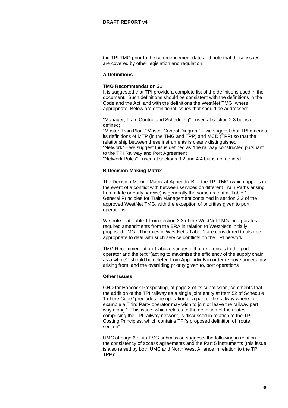the TPI TMG prior to the commencement date and note that these issues are covered by other legislation and regulation.

#### **A Definitions**

# **TMG Recommendation 21**

It is suggested that TPI provide a complete list of the definitions used in the document. Such definitions should be consistent with the definitions in the Code and the Act, and with the definitions the WestNet TMG, where appropriate. Below are definitional issues that should be addressed:

"Manager, Train Control and Scheduling" - used at section 2.3 but is not defined;

"Master Train Plan"/"Master Control Diagram" – we suggest that TPI amends its definitions of MTP (in the TMG and TPP) and MCD (TPP) so that the relationship between these instruments is clearly distinguished; "Network" – we suggest this is defined as "the railway constructed pursuant to the TPI Railway and Port Agreement";

"Network Rules" - used at sections 3.2 and 4.4 but is not defined.

# **B Decision-Making Matrix**

The Decision-Making Matrix at Appendix B of the TPI TMG (which applies in the event of a conflict with between services on different Train Paths arising from a late or early service) is generally the same as that at Table 1 - General Principles for Train Management contained in section 3.3 of the approved WestNet TMG, with the exception of priorities given to port operations.

We note that Table 1 from section 3.3 of the WestNet TMG incorporates required amendments from the ERA in relation to WestNet's initially proposed TMG. The rules in WestNet's Table 1 are considered to also be appropriate to deal with such service conflicts on the TPI network.

TMG Recommendation 1 above suggests that references to the port operator and the text "(acting to maximise the efficiency of the supply chain as a whole)" should be deleted from Appendix B in order remove uncertainty arising from, and the overriding priority given to, port operations

#### **Other Issues**

GHD for Hancock Prospecting, at page 3 of its submission, comments that the addition of the TPI railway as a single joint entity at Item 52 of Schedule 1 of the Code "precludes the operation of a part of the railway where for example a Third Party operator may wish to join or leave the railway part way along." This issue, which relates to the definition of the routes comprising the TPI railway network, is discussed in relation to the TPI Costing Principles, which contains TPI's proposed definition of "route section".

UMC at page 6 of its TMG submission suggests the following in relation to the consistency of access agreements and the Part 5 instruments (this issue is also raised by both UMC and North West Alliance in relation to the TPI TPP):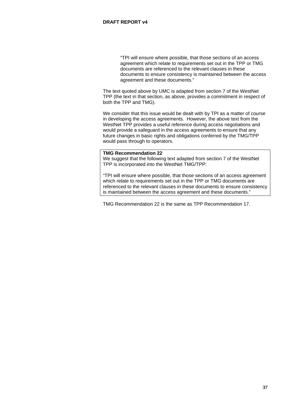"TPI will ensure where possible, that those sections of an access agreement which relate to requirements set out in the TPP or TMG documents are referenced to the relevant clauses in these documents to ensure consistency is maintained between the access agreement and these documents."

The text quoted above by UMC is adapted from section 7 of the WestNet TPP (the text in that section, as above, provides a commitment in respect of both the TPP and TMG).

We consider that this issue would be dealt with by TPI as a matter of course in developing the access agreements. However, the above text from the WestNet TPP provides a useful reference during access negotiations and would provide a safeguard in the access agreements to ensure that any future changes in basic rights and obligations conferred by the TMG/TPP would pass through to operators.

# **TMG Recommendation 22**

We suggest that the following text adapted from section 7 of the WestNet TPP is incorporated into the WestNet TMG/TPP:

"TPI will ensure where possible, that those sections of an access agreement which relate to requirements set out in the TPP or TMG documents are referenced to the relevant clauses in these documents to ensure consistency is maintained between the access agreement and these documents."

TMG Recommendation 22 is the same as TPP Recommendation 17.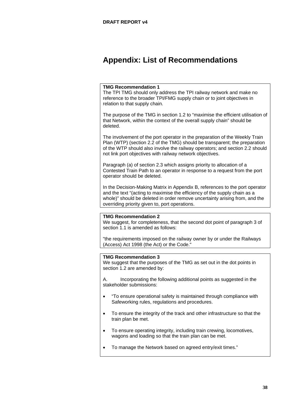# <span id="page-38-0"></span>**Appendix: List of Recommendations**

# **TMG Recommendation 1**

The TPI TMG should only address the TPI railway network and make no reference to the broader TPI/FMG supply chain or to joint objectives in relation to that supply chain.

The purpose of the TMG in section 1.2 to "maximise the efficient utilisation of that Network, within the context of the overall supply chain" should be deleted.

The involvement of the port operator in the preparation of the Weekly Train Plan (WTP) (section 2.2 of the TMG) should be transparent; the preparation of the WTP should also involve the railway operators; and section 2.2 should not link port objectives with railway network objectives.

Paragraph (a) of section 2.3 which assigns priority to allocation of a Contested Train Path to an operator in response to a request from the port operator should be deleted.

In the Decision-Making Matrix in Appendix B, references to the port operator and the text "(acting to maximise the efficiency of the supply chain as a whole)" should be deleted in order remove uncertainty arising from, and the overriding priority given to, port operations.

# **TMG Recommendation 2**

We suggest, for completeness, that the second dot point of paragraph 3 of section 1.1 is amended as follows:

"the requirements imposed on the railway owner by or under the Railways (Access) Act 1998 (the Act) or the Code."

#### **TMG Recommendation 3**

We suggest that the purposes of the TMG as set out in the dot points in section 1.2 are amended by:

A. Incorporating the following additional points as suggested in the stakeholder submissions:

- "To ensure operational safety is maintained through compliance with Safeworking rules, regulations and procedures.
- To ensure the integrity of the track and other infrastructure so that the train plan be met.
- To ensure operating integrity, including train crewing, locomotives, wagons and loading so that the train plan can be met.
- To manage the Network based on agreed entry/exit times."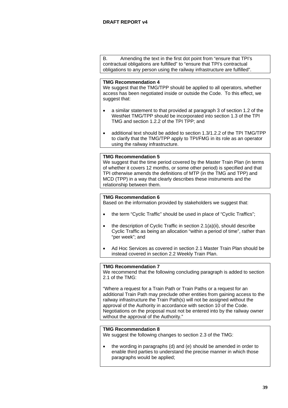B. Amending the text in the first dot point from "ensure that TPI's contractual obligations are fulfilled" to "ensure that TPI's contractual obligations to any person using the railway infrastructure are fulfilled".

# **TMG Recommendation 4**

We suggest that the TMG/TPP should be applied to all operators, whether access has been negotiated inside or outside the Code. To this effect, we suggest that:

- a similar statement to that provided at paragraph 3 of section 1.2 of the WestNet TMG/TPP should be incorporated into section 1.3 of the TPI TMG and section 1.2.2 of the TPI TPP; and
- additional text should be added to section 1.3/1.2.2 of the TPI TMG/TPP to clarify that the TMG/TPP apply to TPI/FMG in its role as an operator using the railway infrastructure.

# **TMG Recommendation 5**

We suggest that the time period covered by the Master Train Plan (in terms) of whether it covers 12 months, or some other period) is specified and that TPI otherwise amends the definitions of MTP (in the TMG and TPP) and MCD (TPP) in a way that clearly describes these instruments and the relationship between them.

# **TMG Recommendation 6**

Based on the information provided by stakeholders we suggest that:

- the term "Cyclic Traffic" should be used in place of "Cyclic Traffics";
- the description of Cyclic Traffic in section 2.1(a)(ii), should describe Cyclic Traffic as being an allocation "within a period of time", rather than "per week"; and
- Ad Hoc Services as covered in section 2.1 Master Train Plan should be instead covered in section 2.2 Weekly Train Plan.

# **TMG Recommendation 7**

We recommend that the following concluding paragraph is added to section 2.1 of the TMG:

"Where a request for a Train Path or Train Paths or a request for an additional Train Path may preclude other entities from gaining access to the railway infrastructure the Train Path(s) will not be assigned without the approval of the Authority in accordance with section 10 of the Code. Negotiations on the proposal must not be entered into by the railway owner without the approval of the Authority."

# **TMG Recommendation 8**

We suggest the following changes to section 2.3 of the TMG:

• the wording in paragraphs (d) and (e) should be amended in order to enable third parties to understand the precise manner in which those paragraphs would be applied;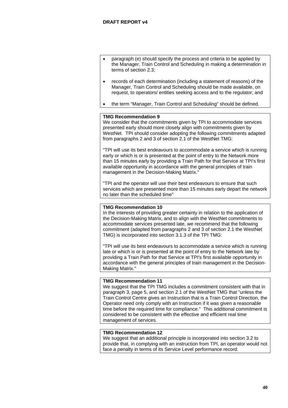- paragraph (e) should specify the process and criteria to be applied by the Manager, Train Control and Scheduling in making a determination in terms of section 2.3;
- records of each determination (including a statement of reasons) of the Manager, Train Control and Scheduling should be made available, on request, to operators/ entities seeking access and to the regulator; and
- the term "Manager, Train Control and Scheduling" should be defined.

We consider that the commitments given by TPI to accommodate services presented early should more closely align with commitments given by WestNet. TPI should consider adopting the following commitments adapted from paragraphs 2 and 3 of section 2.1 of the WestNet TMG:

"TPI will use its best endeavours to accommodate a service which is running early or which is or is presented at the point of entry to the Network more than 15 minutes early by providing a Train Path for that Service at TPI's first available opportunity in accordance with the general principles of train management in the Decision-Making Matrix."

"TPI and the operator will use their best endeavours to ensure that such services which are presented more than 15 minutes early depart the network no later than the scheduled time"

# **TMG Recommendation 10**

In the interests of providing greater certainty in relation to the application of the Decision-Making Matrix, and to align with the WestNet commitments to accommodate services presented late, we recommend that the following commitment (adapted from paragraphs 2 and 3 of section 2.1 the WestNet TMG) is incorporated into section 3.1.3 of the TPI TMG:

"TPI will use its best endeavours to accommodate a service which is running late or which is or is presented at the point of entry to the Network late by providing a Train Path for that Service at TPI's first available opportunity in accordance with the general principles of train management in the Decision-Making Matrix."

# **TMG Recommendation 11**

We suggest that the TPI TMG includes a commitment consistent with that in paragraph 3, page 5, and section 2.1 of the WestNet TMG that "unless the Train Control Centre gives an Instruction that is a Train Control Direction, the Operator need only comply with an Instruction if it was given a reasonable time before the required time for compliance." This additional commitment is considered to be consistent with the effective and efficient real time management of services.

# **TMG Recommendation 12**

We suggest that an additional principle is incorporated into section 3.2 to provide that, in complying with an instruction from TPI, an operator would not face a penalty in terms of its Service Level performance record.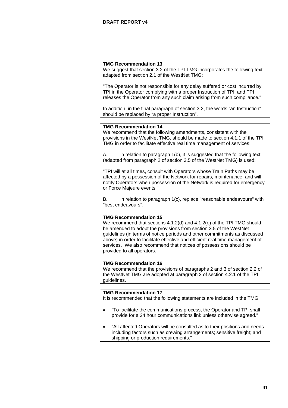We suggest that section 3.2 of the TPI TMG incorporates the following text adapted from section 2.1 of the WestNet TMG:

"The Operator is not responsible for any delay suffered or cost incurred by TPI in the Operator complying with a proper Instruction of TPI, and TPI releases the Operator from any such claim arising from such compliance."

In addition, in the final paragraph of section 3.2, the words "an Instruction" should be replaced by "a proper Instruction".

# **TMG Recommendation 14**

We recommend that the following amendments, consistent with the provisions in the WestNet TMG, should be made to section 4.1.1 of the TPI TMG in order to facilitate effective real time management of services:

A. in relation to paragraph 1(b), it is suggested that the following text (adapted from paragraph 2 of section 3.5 of the WestNet TMG) is used:

"TPI will at all times, consult with Operators whose Train Paths may be affected by a possession of the Network for repairs, maintenance, and will notify Operators when possession of the Network is required for emergency or Force Majeure events."

B. in relation to paragraph 1(c), replace "reasonable endeavours" with "best endeavours".

# **TMG Recommendation 15**

We recommend that sections 4.1.2(d) and 4.1.2(e) of the TPI TMG should be amended to adopt the provisions from section 3.5 of the WestNet guidelines (in terms of notice periods and other commitments as discussed above) in order to facilitate effective and efficient real time management of services. We also recommend that notices of possessions should be provided to all operators.

# **TMG Recommendation 16**

We recommend that the provisions of paragraphs 2 and 3 of section 2.2 of the WestNet TMG are adopted at paragraph 2 of section 4.2.1 of the TPI guidelines.

# **TMG Recommendation 17**

It is recommended that the following statements are included in the TMG:

- "To facilitate the communications process, the Operator and TPI shall provide for a 24 hour communications link unless otherwise agreed."
- "All affected Operators will be consulted as to their positions and needs including factors such as crewing arrangements; sensitive freight; and shipping or production requirements."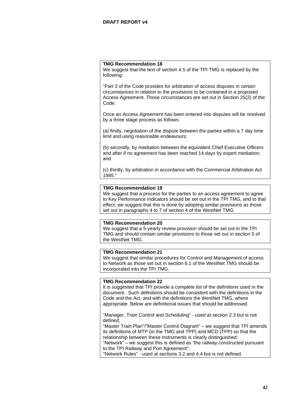We suggest that the text of section 4.5 of the TPI TMG is replaced by the following:

"Part 3 of the Code provides for arbitration of access disputes in certain circumstances in relation to the provisions to be contained in a proposed Access Agreement. Those circumstances are set out in Section 25(2) of the Code.

Once an Access Agreement has been entered into disputes will be resolved by a three stage process as follows:

(a) firstly, negotiation of the dispute between the parties within a 7 day time limit and using reasonable endeavours;

(b) secondly, by mediation between the equivalent Chief Executive Officers and after if no agreement has been reached 14 days by expert mediation; and

(c) thirdly, by arbitration in accordance with the Commercial Arbitration Act 1985."

# **TMG Recommendation 19**

We suggest that a process for the parties to an access agreement to agree to Key Performance Indicators should be set out in the TPI TMG, and to that effect, we suggest that this is done by adopting similar provisions as those set out in paragraphs 4 to 7 of section 4 of the WestNet TMG.

#### **TMG Recommendation 20**

We suggest that a 5-yearly review provision should be set out in the TPI TMG and should contain similar provisions to those set out in section 5 of the WestNet TMG.

# **TMG Recommendation 21**

We suggest that similar procedures for Control and Management of access to Network as those set out in section 6.1 of the WestNet TMG should be incorporated into the TPI TMG.

#### **TMG Recommendation 22**

It is suggested that TPI provide a complete list of the definitions used in the document. Such definitions should be consistent with the definitions in the Code and the Act, and with the definitions the WestNet TMG, where appropriate. Below are definitional issues that should be addressed:

"Manager, Train Control and Scheduling" - used at section 2.3 but is not defined;

"Master Train Plan"/"Master Control Diagram" – we suggest that TPI amends its definitions of MTP (in the TMG and TPP) and MCD (TPP) so that the relationship between these instruments is clearly distinguished; "Network" – we suggest this is defined as "the railway constructed pursuant

to the TPI Railway and Port Agreement";

"Network Rules" - used at sections 3.2 and 4.4 but is not defined.